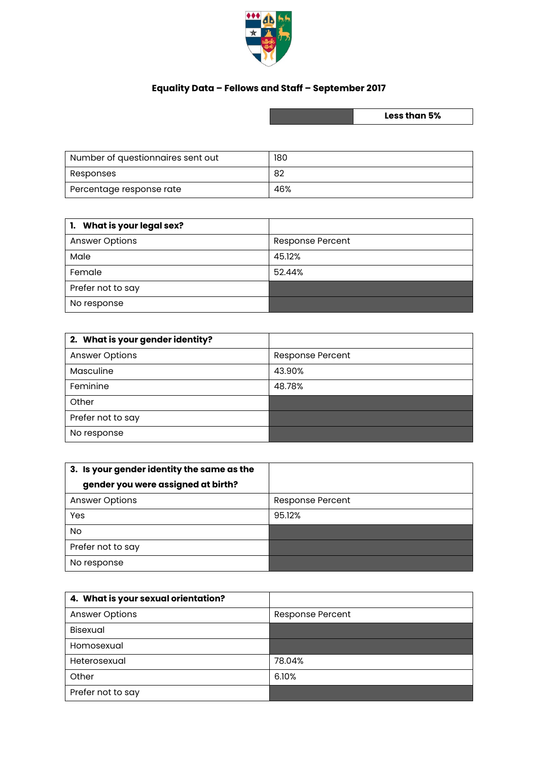

## **Equality Data – Fellows and Staff – September 2017**

**Less than 5%**

| Number of questionnaires sent out | 180 |
|-----------------------------------|-----|
| Responses                         | -82 |
| Percentage response rate          | 46% |

| 1. What is your legal sex? |                  |
|----------------------------|------------------|
| <b>Answer Options</b>      | Response Percent |
| Male                       | 45.12%           |
| Female                     | 52.44%           |
| Prefer not to say          |                  |
| No response                |                  |

| 2. What is your gender identity? |                         |
|----------------------------------|-------------------------|
| <b>Answer Options</b>            | <b>Response Percent</b> |
| Masculine                        | 43.90%                  |
| Feminine                         | 48.78%                  |
| Other                            |                         |
| Prefer not to say                |                         |
| No response                      |                         |

| 3. Is your gender identity the same as the |                         |
|--------------------------------------------|-------------------------|
| gender you were assigned at birth?         |                         |
| <b>Answer Options</b>                      | <b>Response Percent</b> |
| Yes                                        | 95.12%                  |
| No.                                        |                         |
| Prefer not to say                          |                         |
| No response                                |                         |

| 4. What is your sexual orientation? |                         |
|-------------------------------------|-------------------------|
| <b>Answer Options</b>               | <b>Response Percent</b> |
| <b>Bisexual</b>                     |                         |
| Homosexual                          |                         |
| Heterosexual                        | 78.04%                  |
| Other                               | 6.10%                   |
| Prefer not to say                   |                         |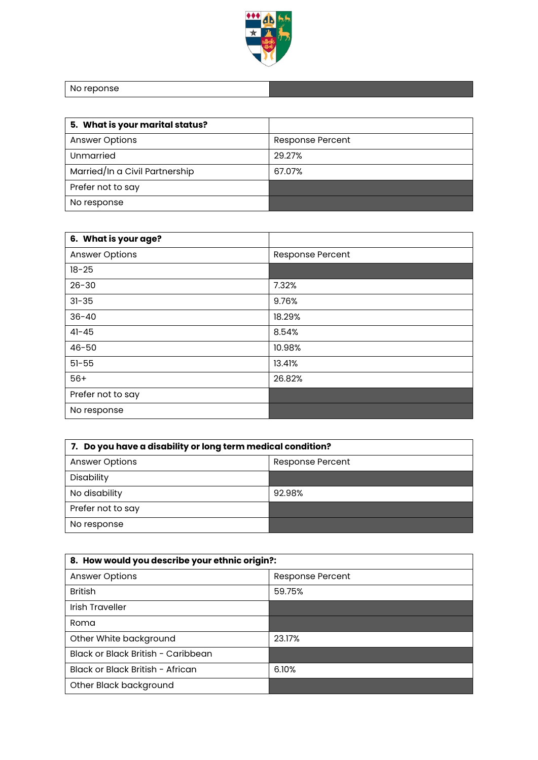

No reponse

| 5. What is your marital status? |                         |
|---------------------------------|-------------------------|
| <b>Answer Options</b>           | <b>Response Percent</b> |
| Unmarried                       | 29.27%                  |
| Married/In a Civil Partnership  | 67.07%                  |
| Prefer not to say               |                         |
| No response                     |                         |

| 6. What is your age?  |                  |
|-----------------------|------------------|
| <b>Answer Options</b> | Response Percent |
| $18 - 25$             |                  |
| $26 - 30$             | 7.32%            |
| $31 - 35$             | 9.76%            |
| $36 - 40$             | 18.29%           |
| $41 - 45$             | 8.54%            |
| $46 - 50$             | 10.98%           |
| $51 - 55$             | 13.41%           |
| $56+$                 | 26.82%           |
| Prefer not to say     |                  |
| No response           |                  |

| 7. Do you have a disability or long term medical condition? |                  |
|-------------------------------------------------------------|------------------|
| <b>Answer Options</b>                                       | Response Percent |
| Disability                                                  |                  |
| No disability                                               | 92.98%           |
| Prefer not to say                                           |                  |
| No response                                                 |                  |

| 8. How would you describe your ethnic origin?: |                  |
|------------------------------------------------|------------------|
| <b>Answer Options</b>                          | Response Percent |
| <b>British</b>                                 | 59.75%           |
| <b>Irish Traveller</b>                         |                  |
| Roma                                           |                  |
| Other White background                         | 23.17%           |
| Black or Black British - Caribbean             |                  |
| Black or Black British - African               | 6.10%            |
| Other Black background                         |                  |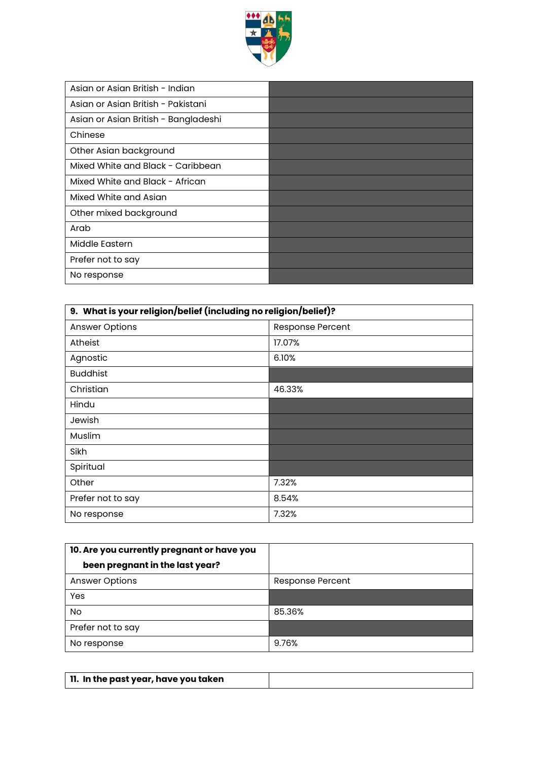

| Asian or Asian British - Indian      |  |
|--------------------------------------|--|
| Asian or Asian British - Pakistani   |  |
| Asian or Asian British - Bangladeshi |  |
| Chinese                              |  |
| Other Asian background               |  |
| Mixed White and Black - Caribbean    |  |
| Mixed White and Black - African      |  |
| Mixed White and Asian                |  |
| Other mixed background               |  |
| Arab                                 |  |
| Middle Eastern                       |  |
| Prefer not to say                    |  |
| No response                          |  |

| 9. What is your religion/belief (including no religion/belief)? |                  |
|-----------------------------------------------------------------|------------------|
| <b>Answer Options</b>                                           | Response Percent |
| <b>Atheist</b>                                                  | 17.07%           |
| Agnostic                                                        | 6.10%            |
| <b>Buddhist</b>                                                 |                  |
| Christian                                                       | 46.33%           |
| Hindu                                                           |                  |
| Jewish                                                          |                  |
| Muslim                                                          |                  |
| Sikh                                                            |                  |
| Spiritual                                                       |                  |
| Other                                                           | 7.32%            |
| Prefer not to say                                               | 8.54%            |
| No response                                                     | 7.32%            |

| 10. Are you currently pregnant or have you |                         |
|--------------------------------------------|-------------------------|
| been pregnant in the last year?            |                         |
| <b>Answer Options</b>                      | <b>Response Percent</b> |
| Yes                                        |                         |
| No.                                        | 85.36%                  |
| Prefer not to say                          |                         |
| No response                                | 9.76%                   |

| 11. In the past year, have you taken |  |
|--------------------------------------|--|
|                                      |  |